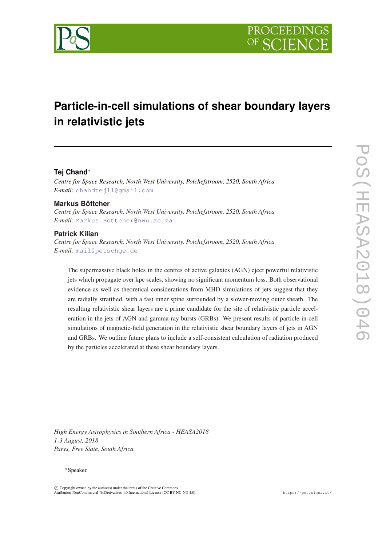

# **Particle-in-cell simulations of shear boundary layers in relativistic jets**

# **Tej Chand**<sup>∗</sup>

*Centre for Space Research, North West University, Potchefstroom, 2520, South Africa E-mail:* [chandtej11@gmail.com](mailto:chandtej11@gmail.com)

#### **Markus Böttcher**

*Centre for Space Research, North West University, Potchefstroom, 2520, South Africa E-mail:* [Markus.Bottcher@nwu.ac.za](mailto:Markus.Bottcher@nwu.ac.za)

## **Patrick Kilian**

*Centre for Space Research, North West University, Potchefstroom, 2520, South Africa E-mail:* [mail@petschge.de](mailto:mail@petschge.de)

The supermassive black holes in the centres of active galaxies (AGN) eject powerful relativistic jets which propagate over kpc scales, showing no significant momentum loss. Both observational evidence as well as theoretical considerations from MHD simulations of jets suggest that they are radially stratified, with a fast inner spine surrounded by a slower-moving outer sheath. The resulting relativistic shear layers are a prime candidate for the site of relativistic particle acceleration in the jets of AGN and gamma-ray bursts (GRBs). We present results of particle-in-cell simulations of magnetic-field generation in the relativistic shear boundary layers of jets in AGN and GRBs. We outline future plans to include a self-consistent calculation of radiation produced by the particles accelerated at these shear boundary layers.

*High Energy Astrophysics in Southern Africa - HEASA2018 1-3 August, 2018 Parys, Free State, South Africa*

#### <sup>∗</sup>Speaker.

 $\overline{c}$  Copyright owned by the author(s) under the terms of the Creative Common Attribution-NonCommercial-NoDerivatives 4.0 International License (CC BY-NC-ND 4.0). https://pos.sissa.it/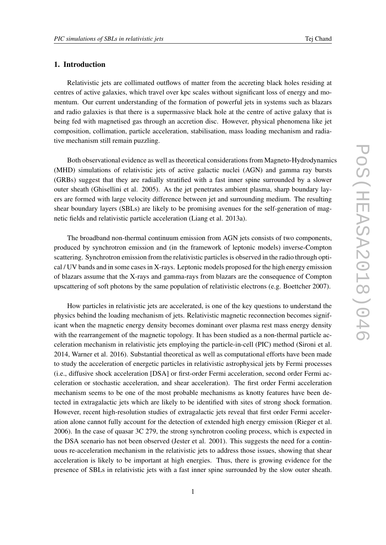# 1. Introduction

Relativistic jets are collimated outflows of matter from the accreting black holes residing at centres of active galaxies, which travel over kpc scales without significant loss of energy and momentum. Our current understanding of the formation of powerful jets in systems such as blazars and radio galaxies is that there is a supermassive black hole at the centre of active galaxy that is being fed with magnetised gas through an accretion disc. However, physical phenomena like jet composition, collimation, particle acceleration, stabilisation, mass loading mechanism and radiative mechanism still remain puzzling.

Both observational evidence as well as theoretical considerations from Magneto-Hydrodynamics (MHD) simulations of relativistic jets of active galactic nuclei (AGN) and gamma ray bursts (GRBs) suggest that they are radially stratified with a fast inner spine surrounded by a slower outer sheath (Ghisellini et al. 2005). As the jet penetrates ambient plasma, sharp boundary layers are formed with large velocity difference between jet and surrounding medium. The resulting shear boundary layers (SBLs) are likely to be promising avenues for the self-generation of magnetic fields and relativistic particle acceleration (Liang et al. 2013a).

The broadband non-thermal continuum emission from AGN jets consists of two components, produced by synchrotron emission and (in the framework of leptonic models) inverse-Compton scattering. Synchrotron emission from the relativistic particles is observed in the radio through optical / UV bands and in some cases in X-rays. Leptonic models proposed for the high energy emission of blazars assume that the X-rays and gamma-rays from blazars are the consequence of Compton upscattering of soft photons by the same population of relativistic electrons (e.g. Boettcher 2007).

How particles in relativistic jets are accelerated, is one of the key questions to understand the physics behind the loading mechanism of jets. Relativistic magnetic reconnection becomes significant when the magnetic energy density becomes dominant over plasma rest mass energy density with the rearrangement of the magnetic topology. It has been studied as a non-thermal particle acceleration mechanism in relativistic jets employing the particle-in-cell (PIC) method (Sironi et al. 2014, Warner et al. 2016). Substantial theoretical as well as computational efforts have been made to study the acceleration of energetic particles in relativistic astrophysical jets by Fermi processes (i.e., diffusive shock acceleration [DSA] or first-order Fermi acceleration, second order Fermi acceleration or stochastic acceleration, and shear acceleration). The first order Fermi acceleration mechanism seems to be one of the most probable mechanisms as knotty features have been detected in extragalactic jets which are likely to be identified with sites of strong shock formation. However, recent high-resolution studies of extragalactic jets reveal that first order Fermi acceleration alone cannot fully account for the detection of extended high energy emission (Rieger et al. 2006). In the case of quasar 3C 279, the strong synchrotron cooling process, which is expected in the DSA scenario has not been observed (Jester et al. 2001). This suggests the need for a continuous re-acceleration mechanism in the relativistic jets to address those issues, showing that shear acceleration is likely to be important at high energies. Thus, there is growing evidence for the presence of SBLs in relativistic jets with a fast inner spine surrounded by the slow outer sheath.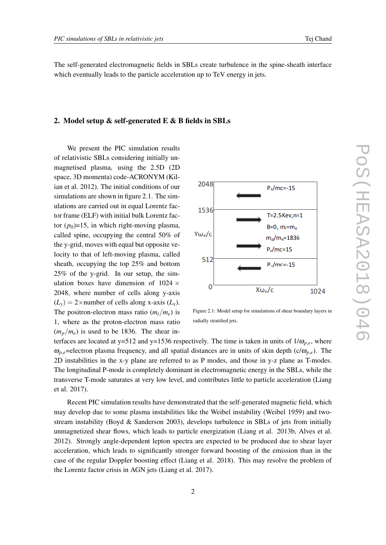The self-generated electromagnetic fields in SBLs create turbulence in the spine-sheath interface which eventually leads to the particle acceleration up to TeV energy in jets.

#### 2. Model setup & self-generated E & B fields in SBLs

We present the PIC simulation results of relativistic SBLs considering initially unmagnetised plasma, using the 2.5D (2D space, 3D momenta) code-ACRONYM (Kilian et al. 2012). The initial conditions of our simulations are shown in figure 2.1. The simulations are carried out in equal Lorentz factor frame (ELF) with initial bulk Lorentz factor  $(p_0)=15$ , in which right-moving plasma, called spine, occupying the central 50% of the y-grid, moves with equal but opposite velocity to that of left-moving plasma, called sheath, occupying the top 25% and bottom 25% of the y-grid. In our setup, the simulation boxes have dimension of  $1024 \times$ 2048, where number of cells along y-axis  $(L_v) = 2 \times$ number of cells along x-axis  $(L_x)$ . The positron-electron mass ratio  $(m_i/m_e)$  is 1, where as the proton-electron mass ratio  $(m_p/m_e)$  is used to be 1836. The shear in-



Figure 2.1: Model setup for simulations of shear boundary layers in radially stratified jets.

terfaces are located at y=512 and y=1536 respectively. The time is taken in units of  $1/\omega_{p,e}$ , where  $\omega_{p,e}$ =electron plasma frequency, and all spatial distances are in units of skin depth (c/ $\omega_{p,e}$ ). The 2D instabilities in the x-y plane are referred to as P modes, and those in y-z plane as T-modes. The longitudinal P-mode is completely dominant in electromagnetic energy in the SBLs, while the transverse T-mode saturates at very low level, and contributes little to particle acceleration (Liang et al. 2017).

Recent PIC simulation results have demonstrated that the self-generated magnetic field, which may develop due to some plasma instabilities like the Weibel instability (Weibel 1959) and twostream instability (Boyd & Sanderson 2003), develops turbulence in SBLs of jets from initially unmagnetized shear flows, which leads to particle energization (Liang et al. 2013b, Alves et al. 2012). Strongly angle-dependent lepton spectra are expected to be produced due to shear layer acceleration, which leads to significantly stronger forward boosting of the emission than in the case of the regular Doppler boosting effect (Liang et al. 2018). This may resolve the problem of the Lorentz factor crisis in AGN jets (Liang et al. 2017).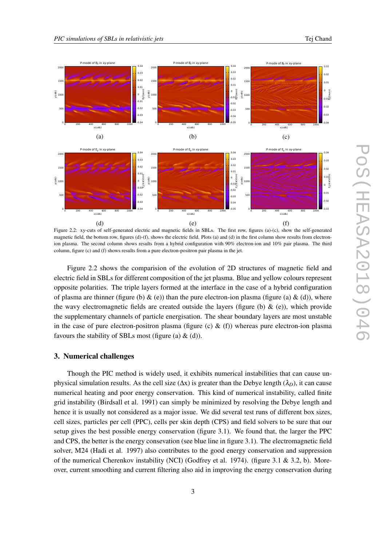

Figure 2.2: xy-cuts of self-generated electric and magnetic fields in SBLs. The first row, figures (a)-(c), show the self-generated magnetic field, the bottom row, figures (d)-(f), shows the electric field. Plots (a) and (d) in the first column show results from electronion plasma. The second column shows results from a hybrid configuration with 90% electron-ion and 10% pair plasma. The third column, figure (c) and (f) shows results from a pure electron-positron pair plasma in the jet.

Figure 2.2 shows the comparision of the evolution of 2D structures of magnetic field and electric field in SBLs for different composition of the jet plasma. Blue and yellow colours represent opposite polarities. The triple layers formed at the interface in the case of a hybrid configuration of plasma are thinner (figure (b)  $\&$  (e)) than the pure electron-ion plasma (figure (a)  $\&$  (d)), where the wavy electromagnetic fields are created outside the layers (figure (b)  $\&$  (e)), which provide the supplementary channels of particle energisation. The shear boundary layers are most unstable in the case of pure electron-positron plasma (figure (c)  $\&$  (f)) whereas pure electron-ion plasma favours the stability of SBLs most (figure (a)  $\&$  (d)).

#### 3. Numerical challenges

Though the PIC method is widely used, it exhibits numerical instabilities that can cause unphysical simulation results. As the cell size ( $\Delta x$ ) is greater than the Debye length ( $\lambda_D$ ), it can cause numerical heating and poor energy conservation. This kind of numerical instability, called finite grid instability (Birdsall et al. 1991) can simply be minimized by resolving the Debye length and hence it is usually not considered as a major issue. We did several test runs of different box sizes, cell sizes, particles per cell (PPC), cells per skin depth (CPS) and field solvers to be sure that our setup gives the best possible energy conservation (figure 3.1). We found that, the larger the PPC and CPS, the better is the energy consevation (see blue line in figure 3.1). The electromagnetic field solver, M24 (Hadi et al. 1997) also contributes to the good energy conservation and suppression of the numerical Cherenkov instability (NCI) (Godfrey et al. 1974). (figure 3.1 & 3.2, b). Moreover, current smoothing and current filtering also aid in improving the energy conservation during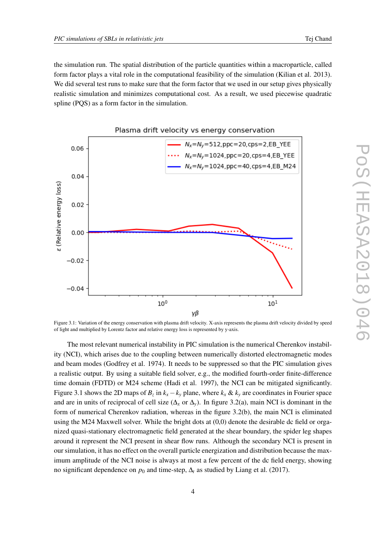the simulation run. The spatial distribution of the particle quantities within a macroparticle, called form factor plays a vital role in the computational feasibility of the simulation (Kilian et al. 2013). We did several test runs to make sure that the form factor that we used in our setup gives physically realistic simulation and minimizes computational cost. As a result, we used piecewise quadratic spline (PQS) as a form factor in the simulation.



#### Plasma drift velocity vs energy conservation

Figure 3.1: Variation of the energy conservation with plasma drift velocity. X-axis represents the plasma drift velocity divided by speed of light and multiplied by Lorentz factor and relative energy loss is represented by y-axis.

The most relevant numerical instability in PIC simulation is the numerical Cherenkov instability (NCI), which arises due to the coupling between numerically distorted electromagnetic modes and beam modes (Godfrey et al. 1974). It needs to be suppressed so that the PIC simulation gives a realistic output. By using a suitable field solver, e.g., the modified fourth-order finite-difference time domain (FDTD) or M24 scheme (Hadi et al. 1997), the NCI can be mitigated significantly. Figure 3.1 shows the 2D maps of  $B_z$  in  $k_x - k_y$  plane, where  $k_x \& k_y$  are coordinates in Fourier space and are in units of reciprocal of cell size ( $\Delta$ *x* or  $\Delta$ *y*). In figure 3.2(a), main NCI is dominant in the form of numerical Cherenkov radiation, whereas in the figure 3.2(b), the main NCI is eliminated using the M24 Maxwell solver. While the bright dots at (0,0) denote the desirable dc field or organized quasi-stationary electromagnetic field generated at the shear boundary, the spider leg shapes around it represent the NCI present in shear flow runs. Although the secondary NCI is present in our simulation, it has no effect on the overall particle energization and distribution because the maximum amplitude of the NCI noise is always at most a few percent of the dc field energy, showing no significant dependence on  $p_0$  and time-step,  $\Delta_t$  as studied by Liang et al. (2017).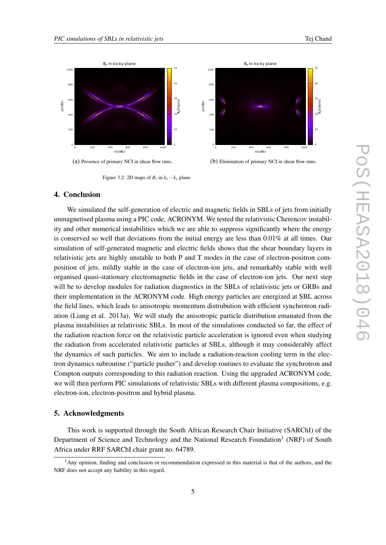

(a) Presence of primary NCI in shear flow runs.

(b) Elimination of primary NCI in shear flow runs.

# 4. Conclusion

We simulated the self-generation of electric and magnetic fields in SBLs of jets from initially unmagnetised plasma using a PIC code, ACRONYM. We tested the relativistic Cherencov instability and other numerical instabilities which we are able to suppress significantly where the energy is conserved so well that deviations from the initial energy are less than 0.01% at all times. Our simulation of self-generated magnetic and electric fields shows that the shear boundary layers in relativistic jets are highly unstable to both P and T modes in the case of electron-positron composition of jets, mildly stable in the case of electron-ion jets, and remarkably stable with well organised quasi-stationary electromagnetic fields in the case of electron-ion jets. Our next step will be to develop modules for radiation diagnostics in the SBLs of relativistic jets or GRBs and their implementation in the ACRONYM code. High energy particles are energized at SBL across the field lines, which leads to anisotropic momentum distrubution with efficient synchrotron radiation (Liang et al. 2013a). We will study the anisotropic particle distribution emanated from the plasma instabilities at relativistic SBLs. In most of the simulations conducted so far, the effect of the radiation reaction force on the relativistic particle acceleration is ignored even when studying the radiation from accelerated relativistic particles at SBLs, although it may considerably affect the dynamics of such particles. We aim to include a radiation-reaction cooling term in the electron dynamics subroutine ("particle pusher") and develop routines to evaluate the synchrotron and Compton outputs corresponding to this radiation reaction. Using the upgraded ACRONYM code, we will then perform PIC simulations of relativistic SBLs with different plasma compositions, e.g. electron-ion, electron-positron and hybrid plasma.

## 5. Acknowledgments

This work is supported through the South African Research Chair Initiative (SARChI) of the Department of Science and Technology and the National Research Foundation<sup>1</sup> (NRF) of South Africa under RRF SARChI chair grant no. 64789.

Figure 3.2: 2D maps of  $B_z$  in  $k_x - k_y$  plane

<sup>1</sup>Any opinion, finding and conclusion or recommendation expressed in this material is that of the authors, and the NRF does not accept any liability in this regard.